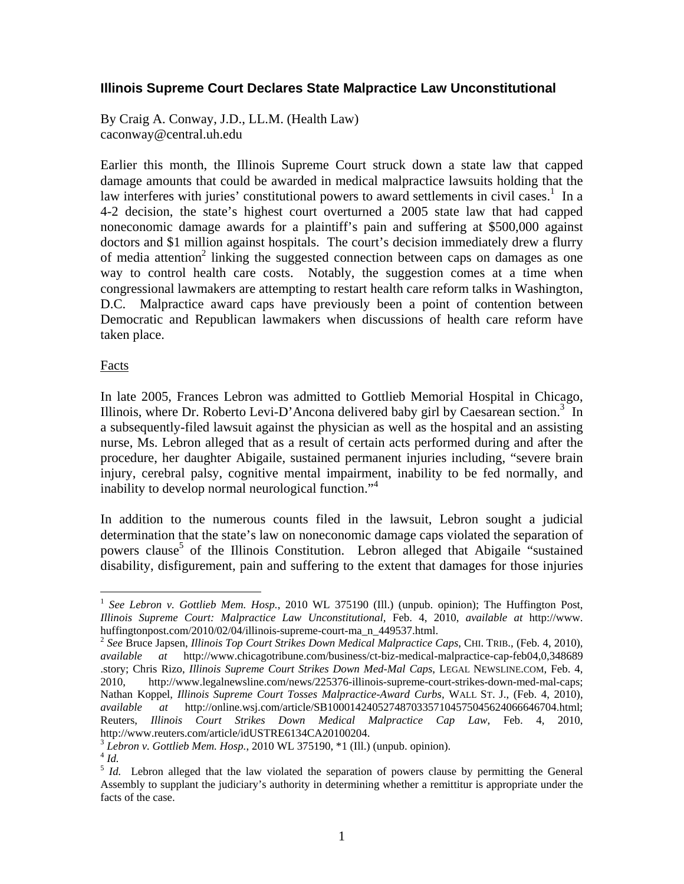## **Illinois Supreme Court Declares State Malpractice Law Unconstitutional**

By Craig A. Conway, J.D., LL.M. (Health Law) caconway@central.uh.edu

Earlier this month, the Illinois Supreme Court struck down a state law that capped damage amounts that could be awarded in medical malpractice lawsuits holding that the law interferes with juries' constitutional powers to award settlements in civil cases.<sup>1</sup> In a 4-2 decision, the state's highest court overturned a 2005 state law that had capped noneconomic damage awards for a plaintiff's pain and suffering at \$500,000 against doctors and \$1 million against hospitals. The court's decision immediately drew a flurry of media attention<sup>2</sup> linking the suggested connection between caps on damages as one way to control health care costs. Notably, the suggestion comes at a time when congressional lawmakers are attempting to restart health care reform talks in Washington, D.C. Malpractice award caps have previously been a point of contention between Democratic and Republican lawmakers when discussions of health care reform have taken place.

### Facts

In late 2005, Frances Lebron was admitted to Gottlieb Memorial Hospital in Chicago, Illinois, where Dr. Roberto Levi-D'Ancona delivered baby girl by Caesarean section.<sup>3</sup> In a subsequently-filed lawsuit against the physician as well as the hospital and an assisting nurse, Ms. Lebron alleged that as a result of certain acts performed during and after the procedure, her daughter Abigaile, sustained permanent injuries including, "severe brain injury, cerebral palsy, cognitive mental impairment, inability to be fed normally, and inability to develop normal neurological function."<sup>4</sup>

In addition to the numerous counts filed in the lawsuit, Lebron sought a judicial determination that the state's law on noneconomic damage caps violated the separation of powers clause<sup>5</sup> of the Illinois Constitution. Lebron alleged that Abigaile "sustained disability, disfigurement, pain and suffering to the extent that damages for those injuries

1

<sup>&</sup>lt;sup>1</sup> See Lebron v. Gottlieb Mem. Hosp., 2010 WL 375190 (Ill.) (unpub. opinion); The Huffington Post, *Illinois Supreme Court: Malpractice Law Unconstitutional*, Feb. 4, 2010, *available at* http://www. huffingtonpost.com/2010/02/04/illinois-supreme-court-ma\_n\_449537.html. 2 *See* Bruce Japsen, *Illinois Top Court Strikes Down Medical Malpractice Caps*, CHI. TRIB., (Feb. 4, 2010),

*available at* http://www.chicagotribune.com/business/ct-biz-medical-malpractice-cap-feb04,0,348689 .story; Chris Rizo, *Illinois Supreme Court Strikes Down Med-Mal Caps*, LEGAL NEWSLINE.COM, Feb. 4, 2010, http://www.legalnewsline.com/news/225376-illinois-supreme-court-strikes-down-med-mal-caps; Nathan Koppel, *Illinois Supreme Court Tosses Malpractice-Award Curbs*, WALL ST. J., (Feb. 4, 2010), *available at* http://online.wsj.com/article/SB10001424052748703357104575045624066646704.html; Reuters, *Illinois Court Strikes Down Medical Malpractice Cap Law*, Feb. 4, 2010, http://www.reuters.com/article/idUSTRE6134CA20100204.

<sup>&</sup>lt;sup>3</sup> *Lebron v. Gottlieb Mem. Hosp.*, 2010 WL 375190, \*1 (Ill.) (unpub. opinion).<br><sup>4</sup> *Id.* Lebron alleged that the law violated the separation of powers clause by permitting the General <sup>5</sup> *Id.* Lebron alleged that the la Assembly to supplant the judiciary's authority in determining whether a remittitur is appropriate under the facts of the case.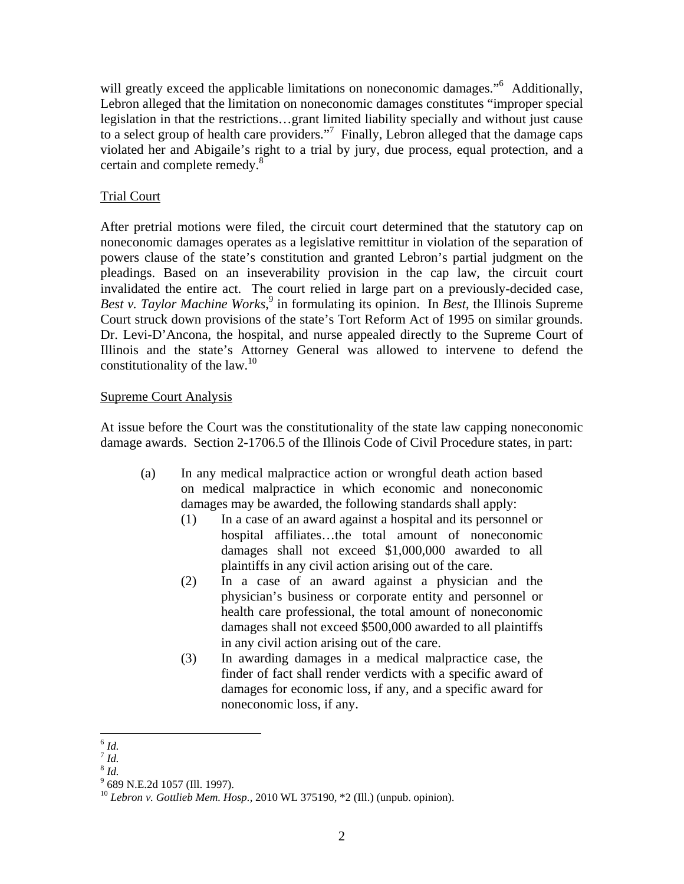will greatly exceed the applicable limitations on noneconomic damages."<sup>6</sup> Additionally, Lebron alleged that the limitation on noneconomic damages constitutes "improper special legislation in that the restrictions…grant limited liability specially and without just cause to a select group of health care providers."<sup>7</sup> Finally, Lebron alleged that the damage caps violated her and Abigaile's right to a trial by jury, due process, equal protection, and a certain and complete remedy.<sup>8</sup>

# Trial Court

After pretrial motions were filed, the circuit court determined that the statutory cap on noneconomic damages operates as a legislative remittitur in violation of the separation of powers clause of the state's constitution and granted Lebron's partial judgment on the pleadings. Based on an inseverability provision in the cap law, the circuit court invalidated the entire act. The court relied in large part on a previously-decided case, Best v. Taylor Machine Works,<sup>9</sup> in formulating its opinion. In *Best*, the Illinois Supreme Court struck down provisions of the state's Tort Reform Act of 1995 on similar grounds. Dr. Levi-D'Ancona, the hospital, and nurse appealed directly to the Supreme Court of Illinois and the state's Attorney General was allowed to intervene to defend the constitutionality of the law.<sup>10</sup>

# Supreme Court Analysis

At issue before the Court was the constitutionality of the state law capping noneconomic damage awards. Section 2-1706.5 of the Illinois Code of Civil Procedure states, in part:

- (a) In any medical malpractice action or wrongful death action based on medical malpractice in which economic and noneconomic damages may be awarded, the following standards shall apply:
	- (1) In a case of an award against a hospital and its personnel or hospital affiliates…the total amount of noneconomic damages shall not exceed \$1,000,000 awarded to all plaintiffs in any civil action arising out of the care.
	- (2) In a case of an award against a physician and the physician's business or corporate entity and personnel or health care professional, the total amount of noneconomic damages shall not exceed \$500,000 awarded to all plaintiffs in any civil action arising out of the care.
	- (3) In awarding damages in a medical malpractice case, the finder of fact shall render verdicts with a specific award of damages for economic loss, if any, and a specific award for noneconomic loss, if any.

 $^{\rm 6}$   $\it{Id.}$ 

 $^7$  *Id.* 

<sup>8</sup> *Id.*

<sup>&</sup>lt;sup>9</sup> 689 N.E.2d 1057 (Ill. 1997).

<sup>10</sup> *Lebron v. Gottlieb Mem. Hosp.*, 2010 WL 375190, \*2 (Ill.) (unpub. opinion).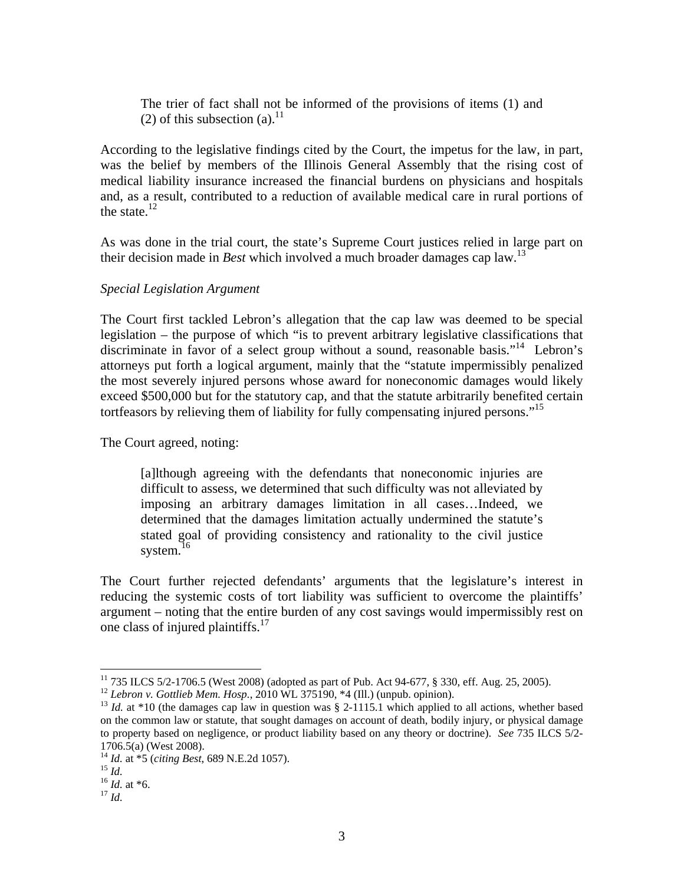The trier of fact shall not be informed of the provisions of items (1) and (2) of this subsection  $(a)$ .<sup>11</sup>

According to the legislative findings cited by the Court, the impetus for the law, in part, was the belief by members of the Illinois General Assembly that the rising cost of medical liability insurance increased the financial burdens on physicians and hospitals and, as a result, contributed to a reduction of available medical care in rural portions of the state. $12$ 

As was done in the trial court, the state's Supreme Court justices relied in large part on their decision made in *Best* which involved a much broader damages cap law.13

### *Special Legislation Argument*

The Court first tackled Lebron's allegation that the cap law was deemed to be special legislation – the purpose of which "is to prevent arbitrary legislative classifications that discriminate in favor of a select group without a sound, reasonable basis."<sup>14</sup> Lebron's attorneys put forth a logical argument, mainly that the "statute impermissibly penalized the most severely injured persons whose award for noneconomic damages would likely exceed \$500,000 but for the statutory cap, and that the statute arbitrarily benefited certain tortfeasors by relieving them of liability for fully compensating injured persons."<sup>15</sup>

The Court agreed, noting:

[a]lthough agreeing with the defendants that noneconomic injuries are difficult to assess, we determined that such difficulty was not alleviated by imposing an arbitrary damages limitation in all cases…Indeed, we determined that the damages limitation actually undermined the statute's stated goal of providing consistency and rationality to the civil justice system. $16$ 

The Court further rejected defendants' arguments that the legislature's interest in reducing the systemic costs of tort liability was sufficient to overcome the plaintiffs' argument – noting that the entire burden of any cost savings would impermissibly rest on one class of injured plaintiffs.<sup>17</sup>

 $\overline{a}$ 

<sup>&</sup>lt;sup>11</sup> 735 ILCS 5/2-1706.5 (West 2008) (adopted as part of Pub. Act 94-677, § 330, eff. Aug. 25, 2005).<br><sup>12</sup> Lebron v. Gottlieb Mem. Hosp., 2010 WL 375190, \*4 (Ill.) (unpub. opinion).

<sup>&</sup>lt;sup>13</sup> *Id.* at \*10 (the damages cap law in question was § 2-1115.1 which applied to all actions, whether based on the common law or statute, that sought damages on account of death, bodily injury, or physical damage to property based on negligence, or product liability based on any theory or doctrine). *See* 735 ILCS 5/2- 1706.5(a) (West 2008).

<sup>14</sup> *Id.* at \*5 (*citing Best*, 689 N.E.2d 1057). 15 *Id.* <sup>16</sup> *Id.* at \*6. 17 *Id.*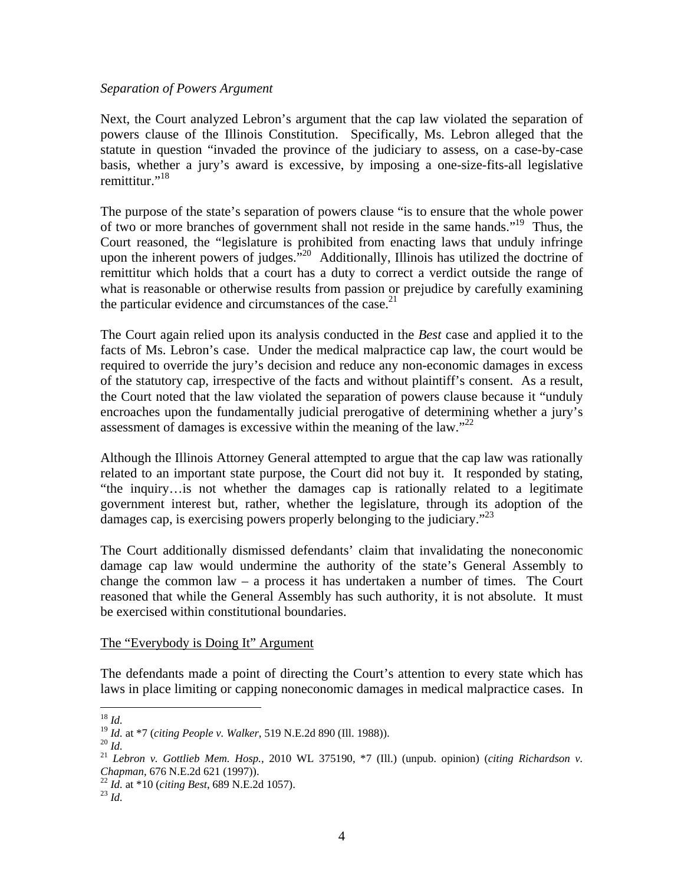#### *Separation of Powers Argument*

Next, the Court analyzed Lebron's argument that the cap law violated the separation of powers clause of the Illinois Constitution. Specifically, Ms. Lebron alleged that the statute in question "invaded the province of the judiciary to assess, on a case-by-case basis, whether a jury's award is excessive, by imposing a one-size-fits-all legislative remittitur."<sup>18</sup>

The purpose of the state's separation of powers clause "is to ensure that the whole power of two or more branches of government shall not reside in the same hands."<sup>19</sup> Thus, the Court reasoned, the "legislature is prohibited from enacting laws that unduly infringe upon the inherent powers of judges."<sup>20</sup> Additionally, Illinois has utilized the doctrine of remittitur which holds that a court has a duty to correct a verdict outside the range of what is reasonable or otherwise results from passion or prejudice by carefully examining the particular evidence and circumstances of the case. $^{21}$ 

The Court again relied upon its analysis conducted in the *Best* case and applied it to the facts of Ms. Lebron's case. Under the medical malpractice cap law, the court would be required to override the jury's decision and reduce any non-economic damages in excess of the statutory cap, irrespective of the facts and without plaintiff's consent. As a result, the Court noted that the law violated the separation of powers clause because it "unduly encroaches upon the fundamentally judicial prerogative of determining whether a jury's assessment of damages is excessive within the meaning of the law.<sup> $22$ </sup>

Although the Illinois Attorney General attempted to argue that the cap law was rationally related to an important state purpose, the Court did not buy it. It responded by stating, "the inquiry…is not whether the damages cap is rationally related to a legitimate government interest but, rather, whether the legislature, through its adoption of the damages cap, is exercising powers properly belonging to the judiciary.<sup> $23$ </sup>

The Court additionally dismissed defendants' claim that invalidating the noneconomic damage cap law would undermine the authority of the state's General Assembly to change the common law – a process it has undertaken a number of times. The Court reasoned that while the General Assembly has such authority, it is not absolute. It must be exercised within constitutional boundaries.

### The "Everybody is Doing It" Argument

The defendants made a point of directing the Court's attention to every state which has laws in place limiting or capping noneconomic damages in medical malpractice cases. In

 $18$   $Id.$ 

*Chapman*, 676 N.E.2d 621 (1997)). 22 *Id.* at \*10 (*citing Best*, 689 N.E.2d 1057). 23 *Id.*

<sup>&</sup>lt;sup>19</sup> *Id.* at \*7 (citing People v. Walker, 519 N.E.2d 890 (Ill. 1988)).<br><sup>20</sup> *Id.*<br><sup>21</sup> *Lebron v. Gottlieb Mem. Hosp.*, 2010 WL 375190, \*7 (Ill.) (unpub. opinion) (citing Richardson v.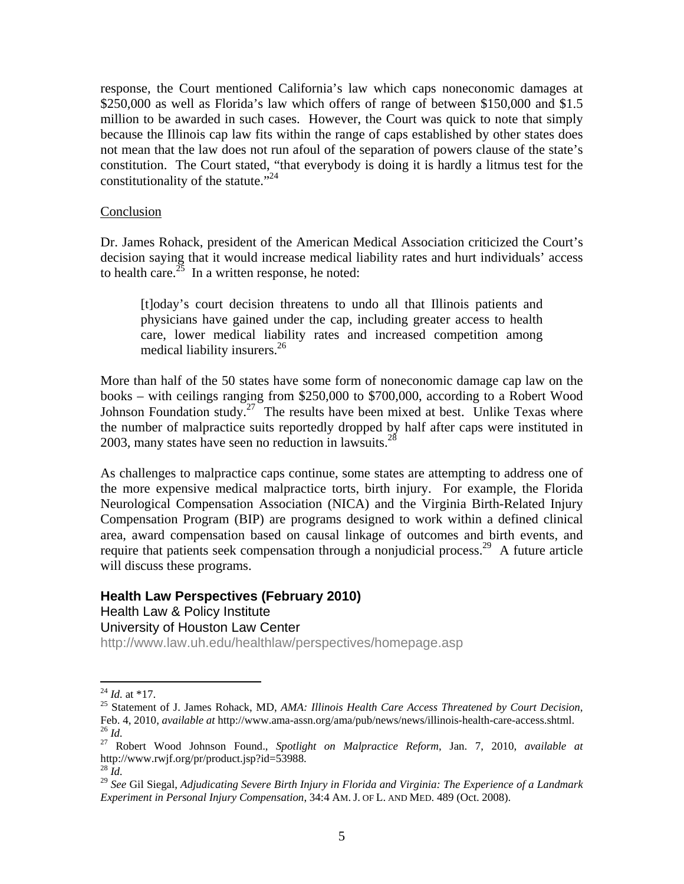response, the Court mentioned California's law which caps noneconomic damages at \$250,000 as well as Florida's law which offers of range of between \$150,000 and \$1.5 million to be awarded in such cases. However, the Court was quick to note that simply because the Illinois cap law fits within the range of caps established by other states does not mean that the law does not run afoul of the separation of powers clause of the state's constitution. The Court stated, "that everybody is doing it is hardly a litmus test for the constitutionality of the statute."<sup>24</sup>

### Conclusion

Dr. James Rohack, president of the American Medical Association criticized the Court's decision saying that it would increase medical liability rates and hurt individuals' access to health care.<sup>25</sup> In a written response, he noted:

[t]oday's court decision threatens to undo all that Illinois patients and physicians have gained under the cap, including greater access to health care, lower medical liability rates and increased competition among medical liability insurers.<sup>26</sup>

More than half of the 50 states have some form of noneconomic damage cap law on the books – with ceilings ranging from \$250,000 to \$700,000, according to a Robert Wood Johnson Foundation study.<sup>27</sup> The results have been mixed at best. Unlike Texas where the number of malpractice suits reportedly dropped by half after caps were instituted in 2003, many states have seen no reduction in lawsuits. $^{28}$ 

As challenges to malpractice caps continue, some states are attempting to address one of the more expensive medical malpractice torts, birth injury. For example, the Florida Neurological Compensation Association (NICA) and the Virginia Birth-Related Injury Compensation Program (BIP) are programs designed to work within a defined clinical area, award compensation based on causal linkage of outcomes and birth events, and require that patients seek compensation through a nonjudicial process.<sup>29</sup> A future article will discuss these programs.

### **Health Law Perspectives (February 2010)**

Health Law & Policy Institute

University of Houston Law Center

http://www.law.uh.edu/healthlaw/perspectives/homepage.asp

 $^{24}$  *Id.* at \*17.

<sup>&</sup>lt;sup>25</sup> Statement of J. James Rohack, MD, *AMA: Illinois Health Care Access Threatened by Court Decision*, Feb. 4, 2010, *available at http://www.ama-assn.org/ama/pub/news/news/illinois-health-care-access.shtml.* 

<sup>&</sup>lt;sup>26</sup> Id.<br><sup>27</sup> Robert Wood Johnson Found., *Spotlight on Malpractice Reform*, Jan. 7, 2010, *available at* http://www.rwjf.org/pr/product.jsp?id=53988. 28 *Id.*

<sup>29</sup> *See* Gil Siegal, *Adjudicating Severe Birth Injury in Florida and Virginia: The Experience of a Landmark Experiment in Personal Injury Compensation*, 34:4 AM. J. OF L. AND MED. 489 (Oct. 2008).